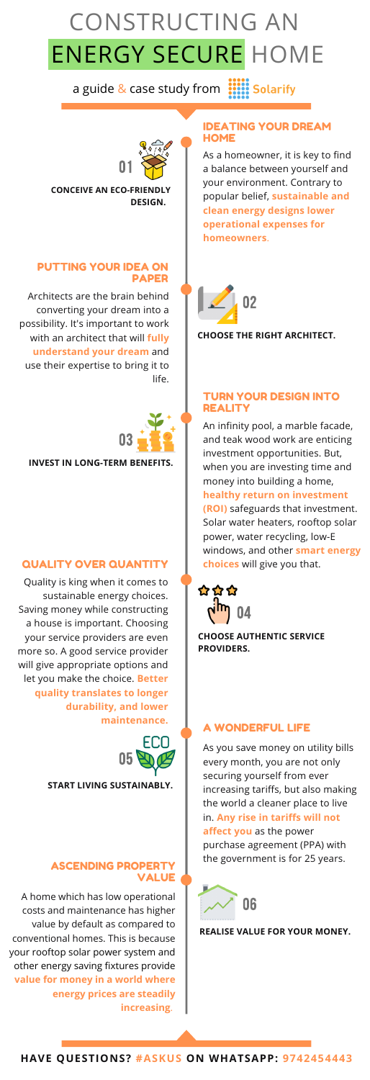#### CONSTRUCTING AN STISTING STILLER ERGY SECURE FIUM CONSTRUCTING AN ENERGY SECURE HOME

a guide & case study from **::::: Solarify** 

#### IDEATING YOUR DREAM **HOME**

**HAVE QUESTIONS? #ASKUS ON WHATSAPP: 9742454443**

As a homeowner, it is key to find a balance between yourself and your environment. Contrary to popular belief, **sustainable and clean energy designs lower operational expenses for homeowners**.

**CONCEIVE AN ECO-FRIENDLY DESIGN.**

#### PUTTING YOUR IDEA ON PAPER

Architects are the brain behind converting your dream into a possibility. It's important to work with an architect that will **fully understand your dream** and use their expertise to bring it to life.

**CHOOSE THE RIGHT ARCHITECT.**

#### TURN YOUR DESIGN INTO REALITY

An infinity pool, a marble facade, and teak wood work are enticing investment opportunities. But, when you are investing time and money into building a home,

#### **healthy return on investment**

**(ROI)** safeguards that investment. Solar water heaters, rooftop solar power, water recycling, low-E windows, and other **smart energy choices** will give you that.

**INVEST IN LONG-TERM BENEFITS.**

#### QUALITY OVER QUANTITY

Quality is king when it comes to sustainable energy choices. Saving money while constructing a house is important. Choosing your service providers are even more so. A good service provider will give appropriate options and let you make the choice. **Better quality translates to longer durability, and lower maintenance.**

**CHOOSE AUTHENTIC SERVICE PROVIDERS.**

### A WONDERFUL LIFE

As you save money on utility bills every month, you are not only securing yourself from ever increasing tariffs, but also making the world a cleaner place to live in. **Any rise in tariffs will not affect you** as the power purchase agreement (PPA) with the government is for 25 years.

**START LIVING SUSTAINABLY.**

#### ASCENDING PROPERTY VALUE

A home which has low operational costs and maintenance has higher value by default as compared to conventional homes. This is because your rooftop solar power system and other energy saving fixtures provide **value for money in a world where energy prices are steadily increasing**.

#### **REALISE VALUE FOR YOUR MONEY.**